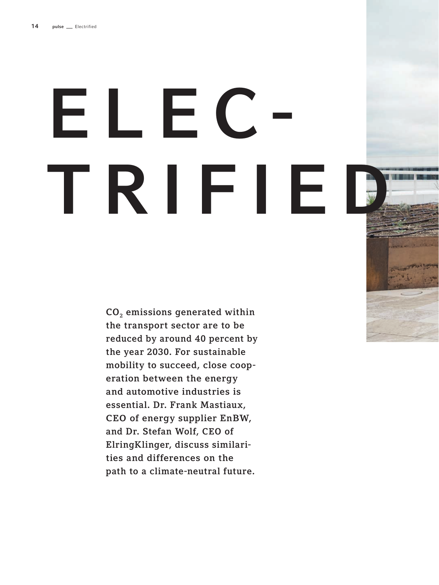# ELEC-TRIFIED

 $CO<sub>2</sub>$  emissions generated within the transport sector are to be reduced by around 40 percent by the year 2030. For sustainable mobility to succeed, close cooperation between the energy and automotive industries is essential. Dr. Frank Mastiaux, CEO of energy supplier EnBW, and Dr. Stefan Wolf, CEO of ElringKlinger, discuss similarities and differences on the path to a climate-neutral future.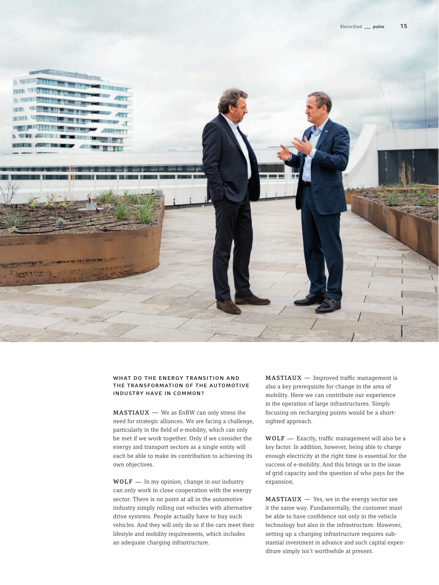

# WHAT DO THE ENERGY TRANSITION AND THE TRANSFORMATION OF THE AUTOMOTIVE INDUSTRY HAVE IN COMMON?

 $MASTIAUX$   $\longrightarrow$  We as EnBW can only stress the need for strategic alliances. We are facing a challenge, particularly in the field of e-mobility, which can only be met if we work together. Only if we consider the energy and transport sectors as a single entity will each be able to make its contribution to achieving its own objectives.

 $WOLF$  - In my opinion, change in our industry can only work in close cooperation with the energy sector. There is no point at all in the automotive industry simply rolling out vehicles with alternative drive systems. People actually have to buy such vehicles. And they will only do so if the cars meet their lifestyle and mobility requirements, which includes an adequate charging infrastructure.

 $MASTIAUX$  — Improved traffic management is also a key prerequisite for change in the area of mobility. Here we can contribute our experience in the operation of large infrastructures. Simply focusing on recharging points would be a shortsighted approach.

 $WOLF$  - Exactly, traffic management will also be a key factor. In addition, however, being able to charge enough electricity at the right time is essential for the success of e-mobility. And this brings us to the issue of grid capacity and the question of who pays for the expansion.

 $MASTIAUX - Yes$ , we in the energy sector see it the same way. Fundamentally, the customer must be able to have confidence not only in the vehicle technology but also in the infrastructure. However, setting up a charging infrastructure requires substantial investment in advance and such capital expenditure simply isn't worthwhile at present.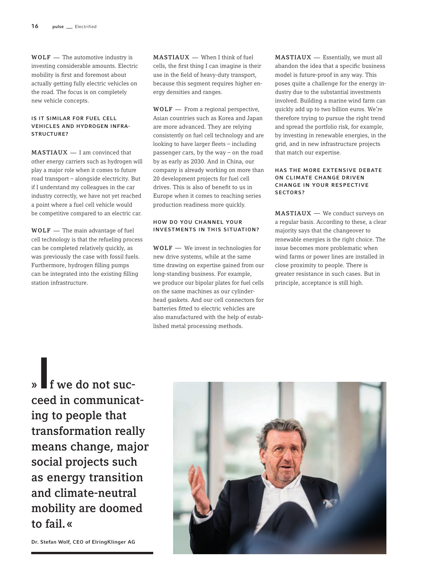$WOLF$  — The automotive industry is investing considerable amounts. Electric mobility is first and foremost about actually getting fully electric vehicles on the road. The focus is on completely new vehicle concepts.

# IS IT SIMILAR FOR FUEL CELL VEHICLES AND HYDROGEN INFRA-STRUCTURE?

 $MASTIAUX - I$  am convinced that other energy carriers such as hydrogen will play a major role when it comes to future road transport – alongside electricity. But if I understand my colleagues in the car industry correctly, we have not yet reached a point where a fuel cell vehicle would be competitive compared to an electric car.

 $WOLF$  – The main advantage of fuel cell technology is that the refueling process can be completed relatively quickly, as was previously the case with fossil fuels. Furthermore, hydrogen filling pumps can be integrated into the existing filling station infrastructure.

 $MASTIAUX$   $\longrightarrow$  When I think of fuel cells, the first thing I can imagine is their use in the field of heavy-duty transport, because this segment requires higher energy densities and ranges.

 $WOLF$  – From a regional perspective, Asian countries such as Korea and Japan are more advanced. They are relying consistently on fuel cell technology and are looking to have larger fleets – including passenger cars, by the way – on the road by as early as 2030. And in China, our company is already working on more than 20 development projects for fuel cell drives. This is also of benefit to us in Europe when it comes to reaching series production readiness more quickly.

### HOW DO YOU CHANNEL YOUR INVESTMENTS IN THIS SITUATION?

 $WOLF$  — We invest in technologies for new drive systems, while at the same time drawing on expertise gained from our long-standing business. For example, we produce our bipolar plates for fuel cells on the same machines as our cylinderhead gaskets. And our cell connectors for batteries fitted to electric vehicles are also manufactured with the help of established metal processing methods.

 $MASTIAUX$  - Essentially, we must all abandon the idea that a specific business model is future-proof in any way. This poses quite a challenge for the energy industry due to the substantial investments involved. Building a marine wind farm can quickly add up to two billion euros. We're therefore trying to pursue the right trend and spread the portfolio risk, for example, by investing in renewable energies, in the grid, and in new infrastructure projects that match our expertise.

### HAS THE MORE EXTENSIVE DEBATE ON CLIMATE CHANGE DRIVEN CHANGE IN YOUR RESPECTIVE SECTORS?

 $MASTIAUX - We conduct surveys on$ a regular basis. According to these, a clear majority says that the changeover to renewable energies is the right choice. The issue becomes more problematic when wind farms or power lines are installed in close proximity to people. There is greater resistance in such cases. But in principle, acceptance is still high.

»If we do not succeed in communicating to people that transformation really means change, major social projects such as energy transition and climate-neutral mobility are doomed to fail. «

Dr. Stefan Wolf, CEO of ElringKlinger AG